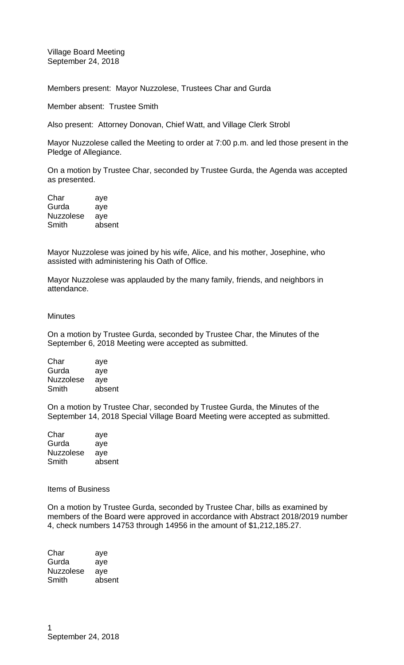Village Board Meeting September 24, 2018

Members present: Mayor Nuzzolese, Trustees Char and Gurda

Member absent: Trustee Smith

Also present: Attorney Donovan, Chief Watt, and Village Clerk Strobl

Mayor Nuzzolese called the Meeting to order at 7:00 p.m. and led those present in the Pledge of Allegiance.

On a motion by Trustee Char, seconded by Trustee Gurda, the Agenda was accepted as presented.

Char aye Gurda aye Nuzzolese aye Smith absent

Mayor Nuzzolese was joined by his wife, Alice, and his mother, Josephine, who assisted with administering his Oath of Office.

Mayor Nuzzolese was applauded by the many family, friends, and neighbors in attendance.

## **Minutes**

On a motion by Trustee Gurda, seconded by Trustee Char, the Minutes of the September 6, 2018 Meeting were accepted as submitted.

| Char             | aye    |
|------------------|--------|
| Gurda            | aye    |
| <b>Nuzzolese</b> | aye    |
| Smith            | absent |
|                  |        |

On a motion by Trustee Char, seconded by Trustee Gurda, the Minutes of the September 14, 2018 Special Village Board Meeting were accepted as submitted.

| Char             | aye    |
|------------------|--------|
| Gurda            | aye    |
| <b>Nuzzolese</b> | aye    |
| Smith            | absent |

Items of Business

On a motion by Trustee Gurda, seconded by Trustee Char, bills as examined by members of the Board were approved in accordance with Abstract 2018/2019 number 4, check numbers 14753 through 14956 in the amount of \$1,212,185.27.

| aye    |
|--------|
| aye    |
| ave    |
| absent |
|        |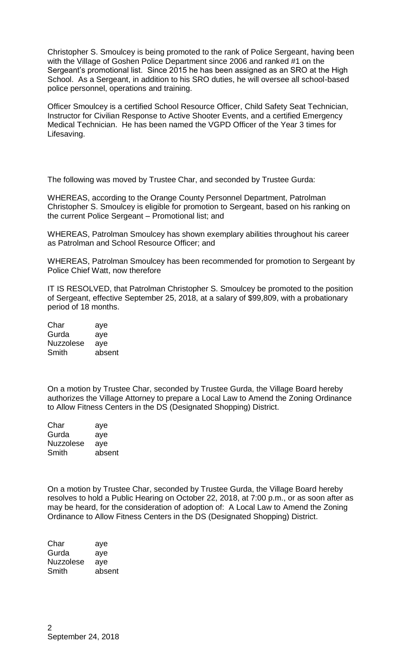Christopher S. Smoulcey is being promoted to the rank of Police Sergeant, having been with the Village of Goshen Police Department since 2006 and ranked #1 on the Sergeant's promotional list. Since 2015 he has been assigned as an SRO at the High School. As a Sergeant, in addition to his SRO duties, he will oversee all school-based police personnel, operations and training.

Officer Smoulcey is a certified School Resource Officer, Child Safety Seat Technician, Instructor for Civilian Response to Active Shooter Events, and a certified Emergency Medical Technician. He has been named the VGPD Officer of the Year 3 times for Lifesaving.

The following was moved by Trustee Char, and seconded by Trustee Gurda:

WHEREAS, according to the Orange County Personnel Department, Patrolman Christopher S. Smoulcey is eligible for promotion to Sergeant, based on his ranking on the current Police Sergeant – Promotional list; and

WHEREAS, Patrolman Smoulcey has shown exemplary abilities throughout his career as Patrolman and School Resource Officer; and

WHEREAS, Patrolman Smoulcey has been recommended for promotion to Sergeant by Police Chief Watt, now therefore

IT IS RESOLVED, that Patrolman Christopher S. Smoulcey be promoted to the position of Sergeant, effective September 25, 2018, at a salary of \$99,809, with a probationary period of 18 months.

Char aye Gurda aye Nuzzolese aye Smith absent

On a motion by Trustee Char, seconded by Trustee Gurda, the Village Board hereby authorizes the Village Attorney to prepare a Local Law to Amend the Zoning Ordinance to Allow Fitness Centers in the DS (Designated Shopping) District.

Char aye Gurda aye Nuzzolese aye Smith absent

On a motion by Trustee Char, seconded by Trustee Gurda, the Village Board hereby resolves to hold a Public Hearing on October 22, 2018, at 7:00 p.m., or as soon after as may be heard, for the consideration of adoption of: A Local Law to Amend the Zoning Ordinance to Allow Fitness Centers in the DS (Designated Shopping) District.

Char aye Gurda aye Nuzzolese aye Smith absent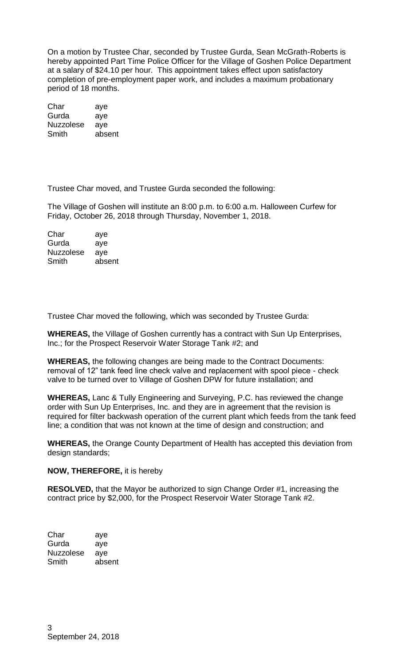On a motion by Trustee Char, seconded by Trustee Gurda, Sean McGrath-Roberts is hereby appointed Part Time Police Officer for the Village of Goshen Police Department at a salary of \$24.10 per hour. This appointment takes effect upon satisfactory completion of pre-employment paper work, and includes a maximum probationary period of 18 months.

| Char             | aye    |
|------------------|--------|
| Gurda            | aye    |
| <b>Nuzzolese</b> | aye    |
| Smith            | absent |

Trustee Char moved, and Trustee Gurda seconded the following:

The Village of Goshen will institute an 8:00 p.m. to 6:00 a.m. Halloween Curfew for Friday, October 26, 2018 through Thursday, November 1, 2018.

| aye    |
|--------|
| aye    |
| ave    |
| absent |
|        |

Trustee Char moved the following, which was seconded by Trustee Gurda:

**WHEREAS,** the Village of Goshen currently has a contract with Sun Up Enterprises, Inc.; for the Prospect Reservoir Water Storage Tank #2; and

**WHEREAS,** the following changes are being made to the Contract Documents: removal of 12" tank feed line check valve and replacement with spool piece - check valve to be turned over to Village of Goshen DPW for future installation; and

**WHEREAS,** Lanc & Tully Engineering and Surveying, P.C. has reviewed the change order with Sun Up Enterprises, Inc. and they are in agreement that the revision is required for filter backwash operation of the current plant which feeds from the tank feed line; a condition that was not known at the time of design and construction; and

**WHEREAS,** the Orange County Department of Health has accepted this deviation from design standards;

## **NOW, THEREFORE,** it is hereby

**RESOLVED,** that the Mayor be authorized to sign Change Order #1, increasing the contract price by \$2,000, for the Prospect Reservoir Water Storage Tank #2.

| aye    |
|--------|
| aye    |
| ave    |
| absent |
|        |